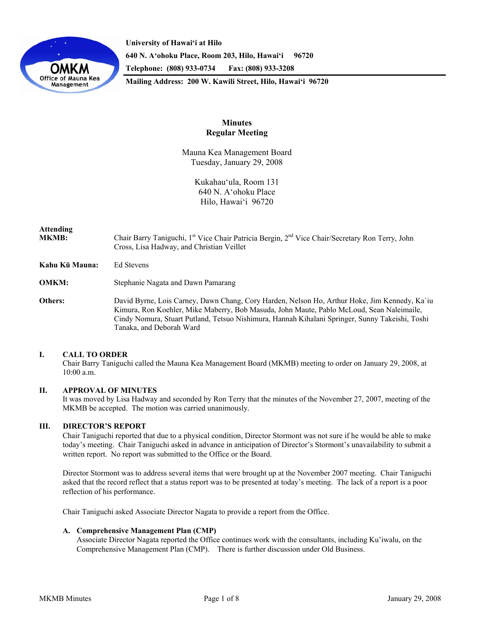

**University of Hawai'i at Hilo 640 N. A'ohoku Place, Room 203, Hilo, Hawai'i 96720 Telephone: (808) 933-0734 Fax: (808) 933-3208 Mailing Address: 200 W. Kawili Street, Hilo, Hawai'i 96720** 

> **Minutes Regular Meeting**

Mauna Kea Management Board Tuesday, January 29, 2008

> Kukahau'ula, Room 131 640 N. A'ohoku Place Hilo, Hawai'i 96720

# **Attending**

MKMB: Chair Barry Taniguchi, 1<sup>st</sup> Vice Chair Patricia Bergin, 2<sup>nd</sup> Vice Chair/Secretary Ron Terry, John Cross, Lisa Hadway, and Christian Veillet

**Kahu Kū Mauna:** Ed Stevens

**OMKM:** Stephanie Nagata and Dawn Pamarang

**Others:** David Byrne, Lois Carney, Dawn Chang, Cory Harden, Nelson Ho, Arthur Hoke, Jim Kennedy, Ka`iu Kimura, Ron Koehler, Mike Maberry, Bob Masuda, John Maute, Pablo McLoud, Sean Naleimaile, Cindy Nomura, Stuart Putland, Tetsuo Nishimura, Hannah Kihalani Springer, Sunny Takeishi, Toshi Tanaka, and Deborah Ward

# **I. CALL TO ORDER**

 Chair Barry Taniguchi called the Mauna Kea Management Board (MKMB) meeting to order on January 29, 2008, at 10:00 a.m.

# **II. APPROVAL OF MINUTES**

It was moved by Lisa Hadway and seconded by Ron Terry that the minutes of the November 27, 2007, meeting of the MKMB be accepted. The motion was carried unanimously.

# **III. DIRECTOR'S REPORT**

 Chair Taniguchi reported that due to a physical condition, Director Stormont was not sure if he would be able to make today's meeting. Chair Taniguchi asked in advance in anticipation of Director's Stormont's unavailability to submit a written report. No report was submitted to the Office or the Board.

Director Stormont was to address several items that were brought up at the November 2007 meeting. Chair Taniguchi asked that the record reflect that a status report was to be presented at today's meeting. The lack of a report is a poor reflection of his performance.

Chair Taniguchi asked Associate Director Nagata to provide a report from the Office.

#### **A. Comprehensive Management Plan (CMP)**

Associate Director Nagata reported the Office continues work with the consultants, including Ku'iwalu, on the Comprehensive Management Plan (CMP). There is further discussion under Old Business.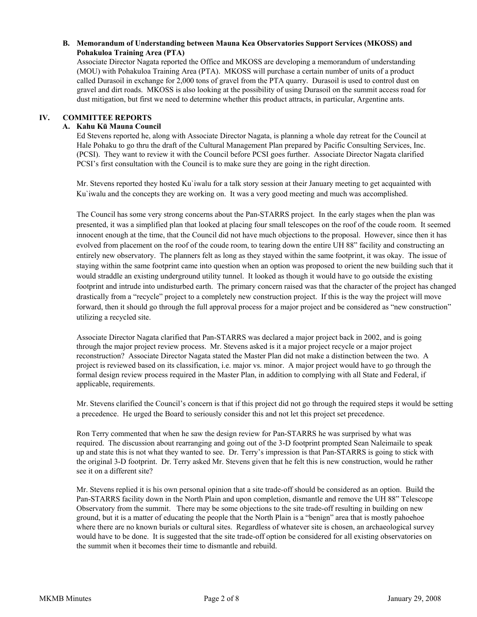# **B. Memorandum of Understanding between Mauna Kea Observatories Support Services (MKOSS) and Pohakuloa Training Area (PTA)**

Associate Director Nagata reported the Office and MKOSS are developing a memorandum of understanding (MOU) with Pohakuloa Training Area (PTA). MKOSS will purchase a certain number of units of a product called Durasoil in exchange for 2,000 tons of gravel from the PTA quarry. Durasoil is used to control dust on gravel and dirt roads. MKOSS is also looking at the possibility of using Durasoil on the summit access road for dust mitigation, but first we need to determine whether this product attracts, in particular, Argentine ants.

# **IV. COMMITTEE REPORTS**

# **A. Kahu Kū Mauna Council**

Ed Stevens reported he, along with Associate Director Nagata, is planning a whole day retreat for the Council at Hale Pohaku to go thru the draft of the Cultural Management Plan prepared by Pacific Consulting Services, Inc. (PCSI). They want to review it with the Council before PCSI goes further. Associate Director Nagata clarified PCSI's first consultation with the Council is to make sure they are going in the right direction.

Mr. Stevens reported they hosted Ku`iwalu for a talk story session at their January meeting to get acquainted with Ku`iwalu and the concepts they are working on. It was a very good meeting and much was accomplished.

The Council has some very strong concerns about the Pan-STARRS project. In the early stages when the plan was presented, it was a simplified plan that looked at placing four small telescopes on the roof of the coude room. It seemed innocent enough at the time, that the Council did not have much objections to the proposal. However, since then it has evolved from placement on the roof of the coude room, to tearing down the entire UH 88" facility and constructing an entirely new observatory. The planners felt as long as they stayed within the same footprint, it was okay. The issue of staying within the same footprint came into question when an option was proposed to orient the new building such that it would straddle an existing underground utility tunnel. It looked as though it would have to go outside the existing footprint and intrude into undisturbed earth. The primary concern raised was that the character of the project has changed drastically from a "recycle" project to a completely new construction project. If this is the way the project will move forward, then it should go through the full approval process for a major project and be considered as "new construction" utilizing a recycled site.

Associate Director Nagata clarified that Pan-STARRS was declared a major project back in 2002, and is going through the major project review process. Mr. Stevens asked is it a major project recycle or a major project reconstruction? Associate Director Nagata stated the Master Plan did not make a distinction between the two. A project is reviewed based on its classification, i.e. major vs. minor. A major project would have to go through the formal design review process required in the Master Plan, in addition to complying with all State and Federal, if applicable, requirements.

Mr. Stevens clarified the Council's concern is that if this project did not go through the required steps it would be setting a precedence. He urged the Board to seriously consider this and not let this project set precedence.

Ron Terry commented that when he saw the design review for Pan-STARRS he was surprised by what was required. The discussion about rearranging and going out of the 3-D footprint prompted Sean Naleimaile to speak up and state this is not what they wanted to see. Dr. Terry's impression is that Pan-STARRS is going to stick with the original 3-D footprint. Dr. Terry asked Mr. Stevens given that he felt this is new construction, would he rather see it on a different site?

Mr. Stevens replied it is his own personal opinion that a site trade-off should be considered as an option. Build the Pan-STARRS facility down in the North Plain and upon completion, dismantle and remove the UH 88" Telescope Observatory from the summit. There may be some objections to the site trade-off resulting in building on new ground, but it is a matter of educating the people that the North Plain is a "benign" area that is mostly pahoehoe where there are no known burials or cultural sites. Regardless of whatever site is chosen, an archaeological survey would have to be done. It is suggested that the site trade-off option be considered for all existing observatories on the summit when it becomes their time to dismantle and rebuild.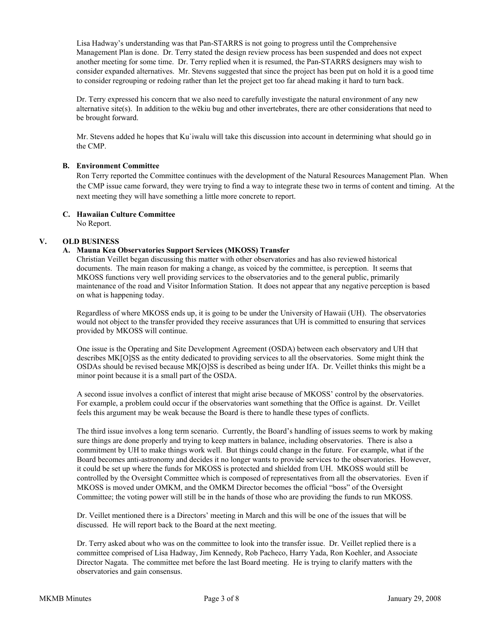Lisa Hadway's understanding was that Pan-STARRS is not going to progress until the Comprehensive Management Plan is done. Dr. Terry stated the design review process has been suspended and does not expect another meeting for some time. Dr. Terry replied when it is resumed, the Pan-STARRS designers may wish to consider expanded alternatives. Mr. Stevens suggested that since the project has been put on hold it is a good time to consider regrouping or redoing rather than let the project get too far ahead making it hard to turn back.

Dr. Terry expressed his concern that we also need to carefully investigate the natural environment of any new alternative site(s). In addition to the wēkiu bug and other invertebrates, there are other considerations that need to be brought forward.

Mr. Stevens added he hopes that Ku`iwalu will take this discussion into account in determining what should go in the CMP.

# **B. Environment Committee**

Ron Terry reported the Committee continues with the development of the Natural Resources Management Plan. When the CMP issue came forward, they were trying to find a way to integrate these two in terms of content and timing. At the next meeting they will have something a little more concrete to report.

# **C. Hawaiian Culture Committee**

No Report.

# **V. OLD BUSINESS**

# **A. Mauna Kea Observatories Support Services (MKOSS) Transfer**

Christian Veillet began discussing this matter with other observatories and has also reviewed historical documents. The main reason for making a change, as voiced by the committee, is perception. It seems that MKOSS functions very well providing services to the observatories and to the general public, primarily maintenance of the road and Visitor Information Station. It does not appear that any negative perception is based on what is happening today.

Regardless of where MKOSS ends up, it is going to be under the University of Hawaii (UH). The observatories would not object to the transfer provided they receive assurances that UH is committed to ensuring that services provided by MKOSS will continue.

One issue is the Operating and Site Development Agreement (OSDA) between each observatory and UH that describes MK[O]SS as the entity dedicated to providing services to all the observatories. Some might think the OSDAs should be revised because MK[O]SS is described as being under IfA. Dr. Veillet thinks this might be a minor point because it is a small part of the OSDA.

A second issue involves a conflict of interest that might arise because of MKOSS' control by the observatories. For example, a problem could occur if the observatories want something that the Office is against. Dr. Veillet feels this argument may be weak because the Board is there to handle these types of conflicts.

The third issue involves a long term scenario. Currently, the Board's handling of issues seems to work by making sure things are done properly and trying to keep matters in balance, including observatories. There is also a commitment by UH to make things work well. But things could change in the future. For example, what if the Board becomes anti-astronomy and decides it no longer wants to provide services to the observatories. However, it could be set up where the funds for MKOSS is protected and shielded from UH. MKOSS would still be controlled by the Oversight Committee which is composed of representatives from all the observatories. Even if MKOSS is moved under OMKM, and the OMKM Director becomes the official "boss" of the Oversight Committee; the voting power will still be in the hands of those who are providing the funds to run MKOSS.

Dr. Veillet mentioned there is a Directors' meeting in March and this will be one of the issues that will be discussed. He will report back to the Board at the next meeting.

Dr. Terry asked about who was on the committee to look into the transfer issue. Dr. Veillet replied there is a committee comprised of Lisa Hadway, Jim Kennedy, Rob Pacheco, Harry Yada, Ron Koehler, and Associate Director Nagata. The committee met before the last Board meeting. He is trying to clarify matters with the observatories and gain consensus.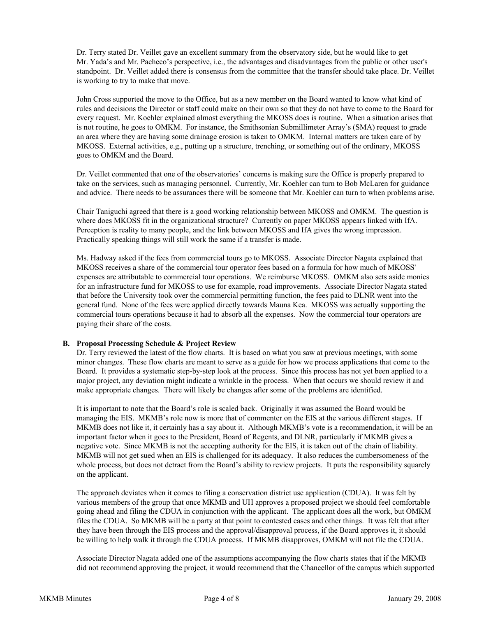Dr. Terry stated Dr. Veillet gave an excellent summary from the observatory side, but he would like to get Mr. Yada's and Mr. Pacheco's perspective, i.e., the advantages and disadvantages from the public or other user's standpoint. Dr. Veillet added there is consensus from the committee that the transfer should take place. Dr. Veillet is working to try to make that move.

John Cross supported the move to the Office, but as a new member on the Board wanted to know what kind of rules and decisions the Director or staff could make on their own so that they do not have to come to the Board for every request. Mr. Koehler explained almost everything the MKOSS does is routine. When a situation arises that is not routine, he goes to OMKM. For instance, the Smithsonian Submillimeter Array's (SMA) request to grade an area where they are having some drainage erosion is taken to OMKM. Internal matters are taken care of by MKOSS. External activities, e.g., putting up a structure, trenching, or something out of the ordinary, MKOSS goes to OMKM and the Board.

Dr. Veillet commented that one of the observatories' concerns is making sure the Office is properly prepared to take on the services, such as managing personnel. Currently, Mr. Koehler can turn to Bob McLaren for guidance and advice. There needs to be assurances there will be someone that Mr. Koehler can turn to when problems arise.

Chair Taniguchi agreed that there is a good working relationship between MKOSS and OMKM. The question is where does MKOSS fit in the organizational structure? Currently on paper MKOSS appears linked with IfA. Perception is reality to many people, and the link between MKOSS and IfA gives the wrong impression. Practically speaking things will still work the same if a transfer is made.

Ms. Hadway asked if the fees from commercial tours go to MKOSS. Associate Director Nagata explained that MKOSS receives a share of the commercial tour operator fees based on a formula for how much of MKOSS' expenses are attributable to commercial tour operations. We reimburse MKOSS. OMKM also sets aside monies for an infrastructure fund for MKOSS to use for example, road improvements. Associate Director Nagata stated that before the University took over the commercial permitting function, the fees paid to DLNR went into the general fund. None of the fees were applied directly towards Mauna Kea. MKOSS was actually supporting the commercial tours operations because it had to absorb all the expenses. Now the commercial tour operators are paying their share of the costs.

# **B. Proposal Processing Schedule & Project Review**

Dr. Terry reviewed the latest of the flow charts. It is based on what you saw at previous meetings, with some minor changes. These flow charts are meant to serve as a guide for how we process applications that come to the Board. It provides a systematic step-by-step look at the process. Since this process has not yet been applied to a major project, any deviation might indicate a wrinkle in the process. When that occurs we should review it and make appropriate changes. There will likely be changes after some of the problems are identified.

It is important to note that the Board's role is scaled back. Originally it was assumed the Board would be managing the EIS. MKMB's role now is more that of commenter on the EIS at the various different stages. If MKMB does not like it, it certainly has a say about it. Although MKMB's vote is a recommendation, it will be an important factor when it goes to the President, Board of Regents, and DLNR, particularly if MKMB gives a negative vote. Since MKMB is not the accepting authority for the EIS, it is taken out of the chain of liability. MKMB will not get sued when an EIS is challenged for its adequacy. It also reduces the cumbersomeness of the whole process, but does not detract from the Board's ability to review projects. It puts the responsibility squarely on the applicant.

The approach deviates when it comes to filing a conservation district use application (CDUA). It was felt by various members of the group that once MKMB and UH approves a proposed project we should feel comfortable going ahead and filing the CDUA in conjunction with the applicant. The applicant does all the work, but OMKM files the CDUA. So MKMB will be a party at that point to contested cases and other things. It was felt that after they have been through the EIS process and the approval/disapproval process, if the Board approves it, it should be willing to help walk it through the CDUA process. If MKMB disapproves, OMKM will not file the CDUA.

Associate Director Nagata added one of the assumptions accompanying the flow charts states that if the MKMB did not recommend approving the project, it would recommend that the Chancellor of the campus which supported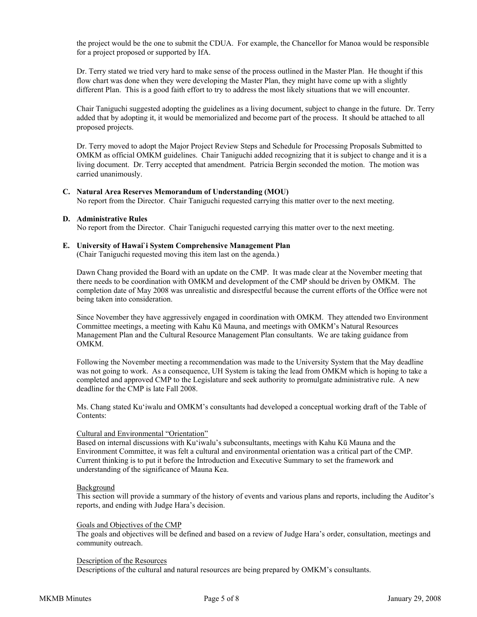the project would be the one to submit the CDUA. For example, the Chancellor for Manoa would be responsible for a project proposed or supported by IfA.

Dr. Terry stated we tried very hard to make sense of the process outlined in the Master Plan. He thought if this flow chart was done when they were developing the Master Plan, they might have come up with a slightly different Plan. This is a good faith effort to try to address the most likely situations that we will encounter.

Chair Taniguchi suggested adopting the guidelines as a living document, subject to change in the future. Dr. Terry added that by adopting it, it would be memorialized and become part of the process. It should be attached to all proposed projects.

Dr. Terry moved to adopt the Major Project Review Steps and Schedule for Processing Proposals Submitted to OMKM as official OMKM guidelines. Chair Taniguchi added recognizing that it is subject to change and it is a living document. Dr. Terry accepted that amendment. Patricia Bergin seconded the motion. The motion was carried unanimously.

#### **C. Natural Area Reserves Memorandum of Understanding (MOU)**

No report from the Director. Chair Taniguchi requested carrying this matter over to the next meeting.

#### **D. Administrative Rules**

No report from the Director. Chair Taniguchi requested carrying this matter over to the next meeting.

# **E. University of Hawai`i System Comprehensive Management Plan**

(Chair Taniguchi requested moving this item last on the agenda.)

Dawn Chang provided the Board with an update on the CMP. It was made clear at the November meeting that there needs to be coordination with OMKM and development of the CMP should be driven by OMKM. The completion date of May 2008 was unrealistic and disrespectful because the current efforts of the Office were not being taken into consideration.

Since November they have aggressively engaged in coordination with OMKM. They attended two Environment Committee meetings, a meeting with Kahu Kū Mauna, and meetings with OMKM's Natural Resources Management Plan and the Cultural Resource Management Plan consultants. We are taking guidance from OMKM.

Following the November meeting a recommendation was made to the University System that the May deadline was not going to work. As a consequence, UH System is taking the lead from OMKM which is hoping to take a completed and approved CMP to the Legislature and seek authority to promulgate administrative rule. A new deadline for the CMP is late Fall 2008.

Ms. Chang stated Ku'iwalu and OMKM's consultants had developed a conceptual working draft of the Table of Contents:

#### Cultural and Environmental "Orientation"

Based on internal discussions with Ku'iwalu's subconsultants, meetings with Kahu Kū Mauna and the Environment Committee, it was felt a cultural and environmental orientation was a critical part of the CMP. Current thinking is to put it before the Introduction and Executive Summary to set the framework and understanding of the significance of Mauna Kea.

#### Background

This section will provide a summary of the history of events and various plans and reports, including the Auditor's reports, and ending with Judge Hara's decision.

#### Goals and Objectives of the CMP

The goals and objectives will be defined and based on a review of Judge Hara's order, consultation, meetings and community outreach.

#### Description of the Resources

Descriptions of the cultural and natural resources are being prepared by OMKM's consultants.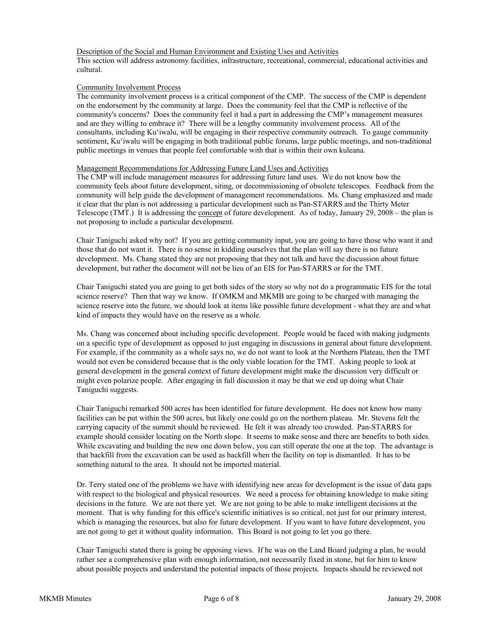# Description of the Social and Human Environment and Existing Uses and Activities

This section will address astronomy facilities, infrastructure, recreational, commercial, educational activities and cultural.

### Community Involvement Process

The community involvement process is a critical component of the CMP. The success of the CMP is dependent on the endorsement by the community at large. Does the community feel that the CMP is reflective of the community's concerns? Does the community feel it had a part in addressing the CMP's management measures and are they willing to embrace it? There will be a lengthy community involvement process. All of the consultants, including Ku'iwalu, will be engaging in their respective community outreach. To gauge community sentiment, Ku'iwalu will be engaging in both traditional public forums, large public meetings, and non-traditional public meetings in venues that people feel comfortable with that is within their own kuleana.

#### Management Recommendations for Addressing Future Land Uses and Activities

The CMP will include management measures for addressing future land uses. We do not know how the community feels about future development, siting, or decommissioning of obsolete telescopes. Feedback from the community will help guide the development of management recommendations. Ms. Chang emphasized and made it clear that the plan is not addressing a particular development such as Pan-STARRS and the Thirty Meter Telescope (TMT.) It is addressing the <u>concept</u> of future development. As of today, January 29, 2008 – the plan is not proposing to include a particular development.

Chair Taniguchi asked why not? If you are getting community input, you are going to have those who want it and those that do not want it. There is no sense in kidding ourselves that the plan will say there is no future development. Ms. Chang stated they are not proposing that they not talk and have the discussion about future development, but rather the document will not be lieu of an EIS for Pan-STARRS or for the TMT.

Chair Taniguchi stated you are going to get both sides of the story so why not do a programmatic EIS for the total science reserve? Then that way we know. If OMKM and MKMB are going to be charged with managing the science reserve into the future, we should look at items like possible future development - what they are and what kind of impacts they would have on the reserve as a whole.

Ms. Chang was concerned about including specific development. People would be faced with making judgments on a specific type of development as opposed to just engaging in discussions in general about future development. For example, if the community as a whole says no, we do not want to look at the Northern Plateau, then the TMT would not even be considered because that is the only viable location for the TMT. Asking people to look at general development in the general context of future development might make the discussion very difficult or might even polarize people. After engaging in full discussion it may be that we end up doing what Chair Taniguchi suggests.

Chair Taniguchi remarked 500 acres has been identified for future development. He does not know how many facilities can be put within the 500 acres, but likely one could go on the northern plateau. Mr. Stevens felt the carrying capacity of the summit should be reviewed. He felt it was already too crowded. Pan-STARRS for example should consider locating on the North slope. It seems to make sense and there are benefits to both sides. While excavating and building the new one down below, you can still operate the one at the top. The advantage is that backfill from the excavation can be used as backfill when the facility on top is dismantled. It has to be something natural to the area. It should not be imported material.

Dr. Terry stated one of the problems we have with identifying new areas for development is the issue of data gaps with respect to the biological and physical resources. We need a process for obtaining knowledge to make siting decisions in the future. We are not there yet. We are not going to be able to make intelligent decisions at the moment. That is why funding for this office's scientific initiatives is so critical, not just for our primary interest, which is managing the resources, but also for future development. If you want to have future development, you are not going to get it without quality information. This Board is not going to let you go there.

Chair Taniguchi stated there is going be opposing views. If he was on the Land Board judging a plan, he would rather see a comprehensive plan with enough information, not necessarily fixed in stone, but for him to know about possible projects and understand the potential impacts of those projects. Impacts should be reviewed not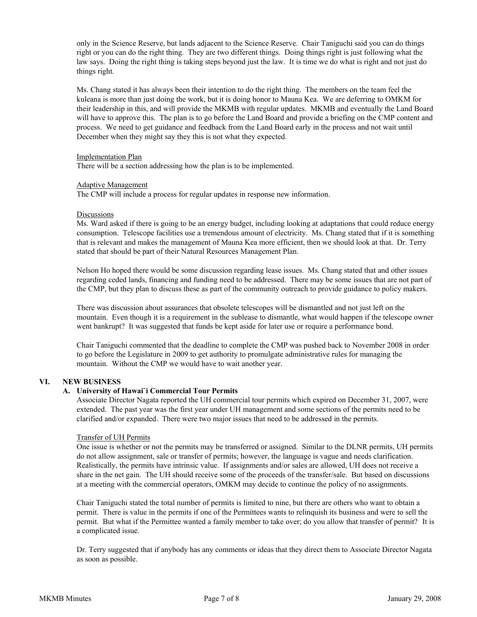only in the Science Reserve, but lands adjacent to the Science Reserve. Chair Taniguchi said you can do things right or you can do the right thing. They are two different things. Doing things right is just following what the law says. Doing the right thing is taking steps beyond just the law. It is time we do what is right and not just do things right.

Ms. Chang stated it has always been their intention to do the right thing. The members on the team feel the kuleana is more than just doing the work, but it is doing honor to Mauna Kea. We are deferring to OMKM for their leadership in this, and will provide the MKMB with regular updates. MKMB and eventually the Land Board will have to approve this. The plan is to go before the Land Board and provide a briefing on the CMP content and process. We need to get guidance and feedback from the Land Board early in the process and not wait until December when they might say they this is not what they expected.

#### Implementation Plan

There will be a section addressing how the plan is to be implemented.

#### Adaptive Management

The CMP will include a process for regular updates in response new information.

#### Discussions

Ms. Ward asked if there is going to be an energy budget, including looking at adaptations that could reduce energy consumption. Telescope facilities use a tremendous amount of electricity. Ms. Chang stated that if it is something that is relevant and makes the management of Mauna Kea more efficient, then we should look at that. Dr. Terry stated that should be part of their Natural Resources Management Plan.

Nelson Ho hoped there would be some discussion regarding lease issues. Ms. Chang stated that and other issues regarding ceded lands, financing and funding need to be addressed. There may be some issues that are not part of the CMP, but they plan to discuss these as part of the community outreach to provide guidance to policy makers.

There was discussion about assurances that obsolete telescopes will be dismantled and not just left on the mountain. Even though it is a requirement in the sublease to dismantle, what would happen if the telescope owner went bankrupt? It was suggested that funds be kept aside for later use or require a performance bond.

Chair Taniguchi commented that the deadline to complete the CMP was pushed back to November 2008 in order to go before the Legislature in 2009 to get authority to promulgate administrative rules for managing the mountain. Without the CMP we would have to wait another year.

# **VI. NEW BUSINESS**

# **A. University of Hawai`i Commercial Tour Permits**

Associate Director Nagata reported the UH commercial tour permits which expired on December 31, 2007, were extended. The past year was the first year under UH management and some sections of the permits need to be clarified and/or expanded. There were two major issues that need to be addressed in the permits.

# Transfer of UH Permits

One issue is whether or not the permits may be transferred or assigned. Similar to the DLNR permits, UH permits do not allow assignment, sale or transfer of permits; however, the language is vague and needs clarification. Realistically, the permits have intrinsic value. If assignments and/or sales are allowed, UH does not receive a share in the net gain. The UH should receive some of the proceeds of the transfer/sale. But based on discussions at a meeting with the commercial operators, OMKM may decide to continue the policy of no assignments.

Chair Taniguchi stated the total number of permits is limited to nine, but there are others who want to obtain a permit. There is value in the permits if one of the Permittees wants to relinquish its business and were to sell the permit. But what if the Permittee wanted a family member to take over; do you allow that transfer of permit? It is a complicated issue.

Dr. Terry suggested that if anybody has any comments or ideas that they direct them to Associate Director Nagata as soon as possible.